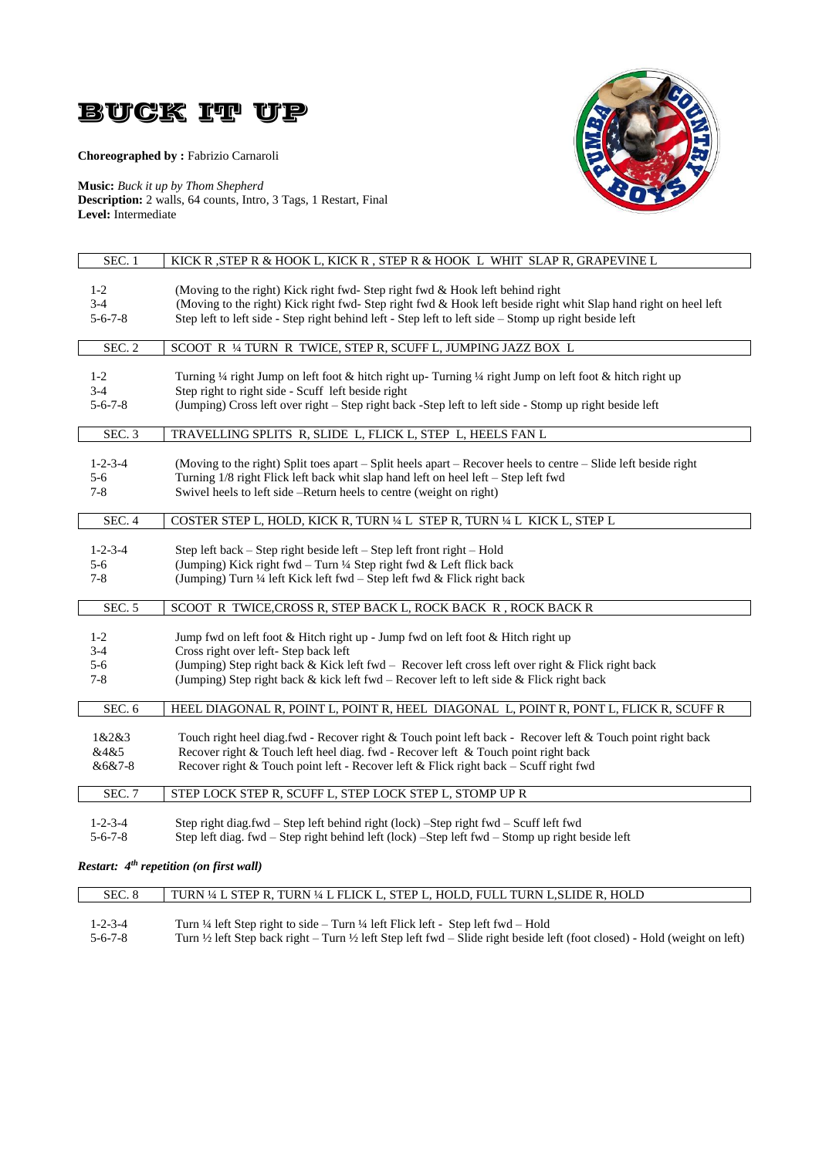

# **Choreographed by :** Fabrizio Carnaroli



**Music:** *Buck it up by Thom Shepherd* **Description:** 2 walls, 64 counts, Intro, 3 Tags, 1 Restart, Final **Level:** Intermediate

| SEC. 1          | KICK R, STEP R & HOOK L, KICK R, STEP R & HOOK L WHIT SLAP R, GRAPEVINE L                                                                                                                 |
|-----------------|-------------------------------------------------------------------------------------------------------------------------------------------------------------------------------------------|
| $1-2$           | (Moving to the right) Kick right fwd-Step right fwd & Hook left behind right                                                                                                              |
| $3-4$           | (Moving to the right) Kick right fwd-Step right fwd & Hook left beside right whit Slap hand right on heel left                                                                            |
| $5 - 6 - 7 - 8$ | Step left to left side - Step right behind left - Step left to left side - Stomp up right beside left                                                                                     |
|                 |                                                                                                                                                                                           |
| SEC. 2          | SCOOT R 1/4 TURN R TWICE, STEP R, SCUFF L, JUMPING JAZZ BOX L                                                                                                                             |
| $1-2$           | Turning 1/4 right Jump on left foot & hitch right up- Turning 1/4 right Jump on left foot & hitch right up                                                                                |
| $3 - 4$         | Step right to right side - Scuff left beside right                                                                                                                                        |
| $5 - 6 - 7 - 8$ | (Jumping) Cross left over right – Step right back - Step left to left side - Stomp up right beside left                                                                                   |
| SEC. 3          | TRAVELLING SPLITS R, SLIDE L, FLICK L, STEP L, HEELS FAN L                                                                                                                                |
| $1 - 2 - 3 - 4$ | (Moving to the right) Split toes apart – Split heels apart – Recover heels to centre – Slide left beside right                                                                            |
| $5 - 6$         | Turning 1/8 right Flick left back whit slap hand left on heel left – Step left fwd                                                                                                        |
| $7 - 8$         | Swivel heels to left side -Return heels to centre (weight on right)                                                                                                                       |
|                 |                                                                                                                                                                                           |
| SEC.4           | COSTER STEP L, HOLD, KICK R, TURN 1/4 L STEP R, TURN 1/4 L KICK L, STEP L                                                                                                                 |
| $1 - 2 - 3 - 4$ | Step left back – Step right beside left – Step left front right – Hold                                                                                                                    |
| 5-6             | (Jumping) Kick right fwd - Turn 1/4 Step right fwd & Left flick back                                                                                                                      |
| $7 - 8$         | (Jumping) Turn 1/4 left Kick left fwd – Step left fwd & Flick right back                                                                                                                  |
| SEC. 5          | SCOOT R TWICE, CROSS R, STEP BACK L, ROCK BACK R, ROCK BACK R                                                                                                                             |
| $1-2$           | Jump fwd on left foot & Hitch right up - Jump fwd on left foot & Hitch right up                                                                                                           |
| $3 - 4$         | Cross right over left- Step back left                                                                                                                                                     |
| $5 - 6$         |                                                                                                                                                                                           |
|                 | (Jumping) Step right back & Kick left fwd - Recover left cross left over right & Flick right back                                                                                         |
| $7 - 8$         | (Jumping) Step right back & kick left fwd – Recover left to left side $\&$ Flick right back                                                                                               |
| SEC. 6          | HEEL DIAGONAL R, POINT L, POINT R, HEEL DIAGONAL L, POINT R, PONT L, FLICK R, SCUFF R                                                                                                     |
| 1&2&3           | Touch right heel diag.fwd - Recover right & Touch point left back - Recover left & Touch point right back                                                                                 |
| &4&5            | Recover right & Touch left heel diag. fwd - Recover left & Touch point right back                                                                                                         |
| &6&7-8          | Recover right & Touch point left - Recover left & Flick right back - Scuff right fwd                                                                                                      |
| <b>SEC. 7</b>   | STEP LOCK STEP R, SCUFF L, STEP LOCK STEP L, STOMP UP R                                                                                                                                   |
|                 |                                                                                                                                                                                           |
|                 |                                                                                                                                                                                           |
| $1 - 2 - 3 - 4$ | Step right diag.fwd – Step left behind right (lock) – Step right fwd – Scuff left fwd<br>Step left diag. fwd – Step right behind left (lock) – Step left fwd – Stomp up right beside left |

*Restart: 4 th repetition (on first wall)*

| SEC. 8          | TURN ¼ L STEP R, TURN ¼ L FLICK L, STEP L, HOLD, FULL TURN L,SLIDE R, HOLD                                                                      |
|-----------------|-------------------------------------------------------------------------------------------------------------------------------------------------|
|                 |                                                                                                                                                 |
| $1 - 2 - 3 - 4$ | Turn $\frac{1}{4}$ left Step right to side – Turn $\frac{1}{4}$ left Flick left - Step left fwd – Hold                                          |
| $5 - 6 - 7 - 8$ | Turn $\frac{1}{2}$ left Step back right – Turn $\frac{1}{2}$ left Step left fwd – Slide right beside left (foot closed) - Hold (weight on left) |